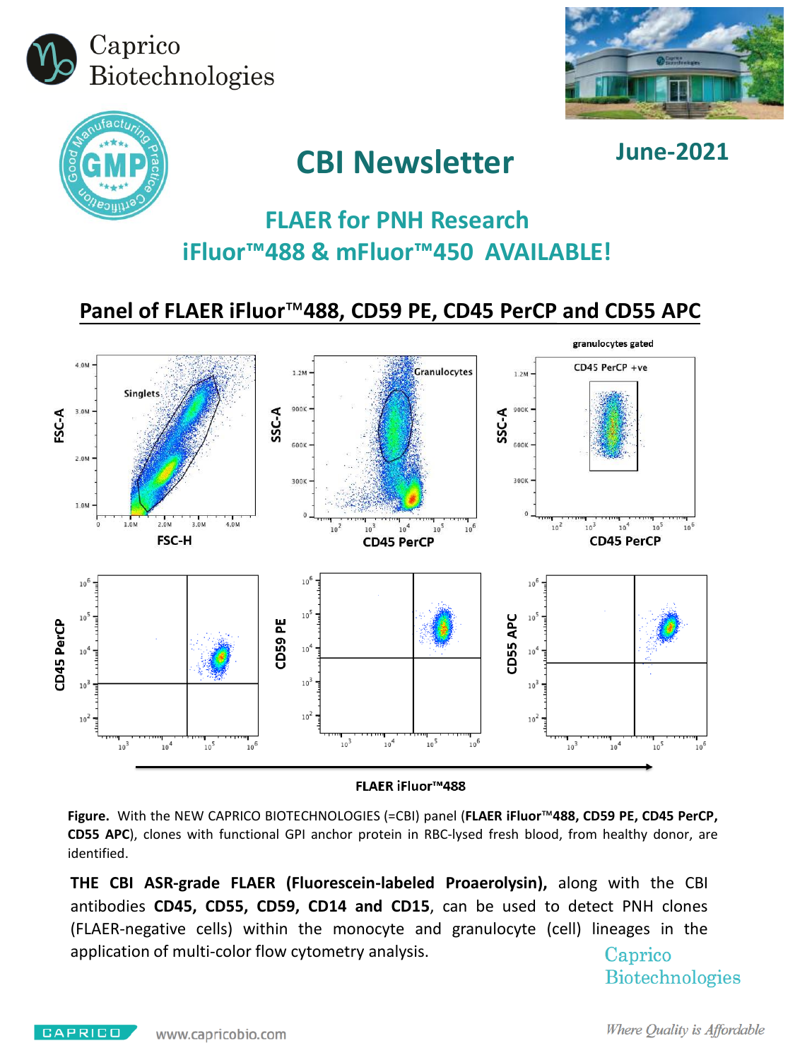





# **CBI Newsletter June-2021**

# **FLAER for PNH Research iFluor™488 & mFluor™450 AVAILABLE!**

**Panel of FLAER iFluor™488, CD59 PE, CD45 PerCP and CD55 APC**



**FLAER iFluor™488** 

**Figure.** With the NEW CAPRICO BIOTECHNOLOGIES (=CBI) panel (**FLAER iFluor™488, CD59 PE, CD45 PerCP, CD55 APC**), clones with functional GPI anchor protein in RBC-lysed fresh blood, from healthy donor, are identified.

**THE CBI ASR-grade FLAER (Fluorescein-labeled Proaerolysin),** along with the CBI antibodies **CD45, CD55, CD59, CD14 and CD15**, can be used to detect PNH clones (FLAER-negative cells) within the monocyte and granulocyte (cell) lineages in the application of multi-color flow cytometry analysis.Caprico

**Biotechnologies**